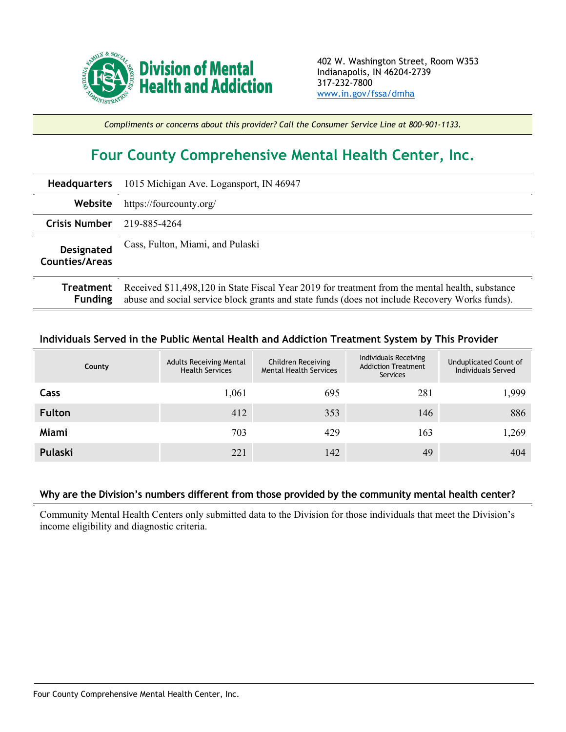

*Compliments or concerns about this provider? Call the Consumer Service Line at 800-901-1133.*

## **Four County Comprehensive Mental Health Center, Inc.**

| <b>Headquarters</b>                        | 1015 Michigan Ave. Logansport, IN 46947                                                                                                                                                           |  |  |  |  |
|--------------------------------------------|---------------------------------------------------------------------------------------------------------------------------------------------------------------------------------------------------|--|--|--|--|
| Website                                    | https://fourcounty.org/                                                                                                                                                                           |  |  |  |  |
| <b>Crisis Number</b>                       | 219-885-4264                                                                                                                                                                                      |  |  |  |  |
| <b>Designated</b><br><b>Counties/Areas</b> | Cass, Fulton, Miami, and Pulaski                                                                                                                                                                  |  |  |  |  |
| Treatment<br><b>Funding</b>                | Received \$11,498,120 in State Fiscal Year 2019 for treatment from the mental health, substance<br>abuse and social service block grants and state funds (does not include Recovery Works funds). |  |  |  |  |

## **Individuals Served in the Public Mental Health and Addiction Treatment System by This Provider**

|                | County | <b>Adults Receiving Mental</b><br><b>Health Services</b> | Children Receiving<br><b>Mental Health Services</b> | Individuals Receiving<br><b>Addiction Treatment</b><br>Services | Unduplicated Count of<br>Individuals Served |
|----------------|--------|----------------------------------------------------------|-----------------------------------------------------|-----------------------------------------------------------------|---------------------------------------------|
| Cass           |        | 1,061                                                    | 695                                                 | 281                                                             | 1,999                                       |
| <b>Fulton</b>  |        | 412                                                      | 353                                                 | 146                                                             | 886                                         |
| <b>Miami</b>   |        | 703                                                      | 429                                                 | 163                                                             | 1,269                                       |
| <b>Pulaski</b> |        | 221                                                      | 142                                                 | 49                                                              | 404                                         |

## **Why are the Division's numbers different from those provided by the community mental health center?**

Community Mental Health Centers only submitted data to the Division for those individuals that meet the Division's income eligibility and diagnostic criteria.